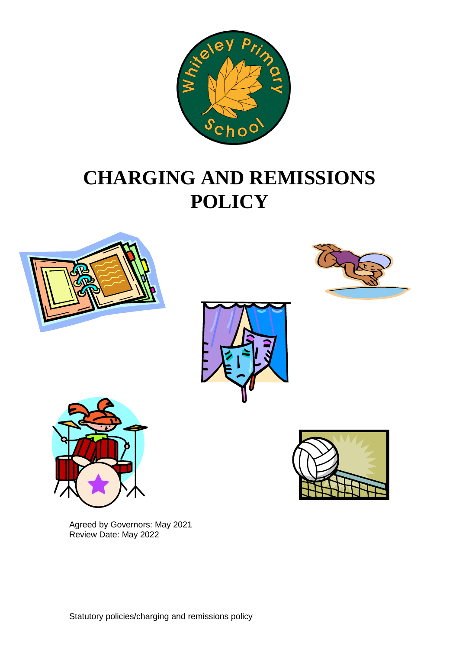

# **CHARGING AND REMISSIONS POLICY**









Agreed by Governors: May 2021 Review Date: May 2022



Statutory policies/charging and remissions policy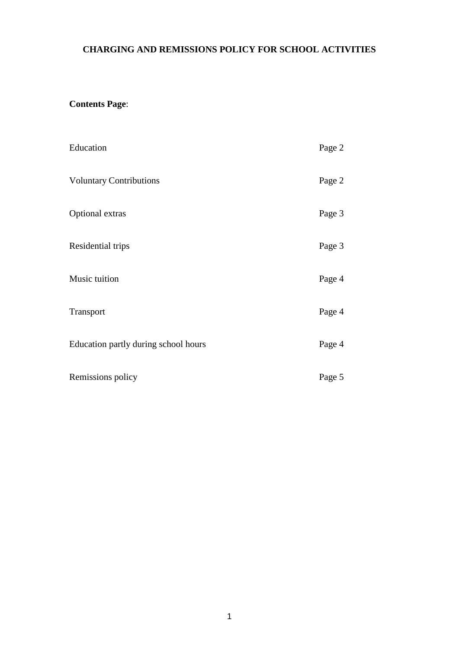## **CHARGING AND REMISSIONS POLICY FOR SCHOOL ACTIVITIES**

## **Contents Page**:

| Education                            | Page 2 |
|--------------------------------------|--------|
| <b>Voluntary Contributions</b>       | Page 2 |
| Optional extras                      | Page 3 |
| Residential trips                    | Page 3 |
| Music tuition                        | Page 4 |
| Transport                            | Page 4 |
| Education partly during school hours | Page 4 |
| Remissions policy                    | Page 5 |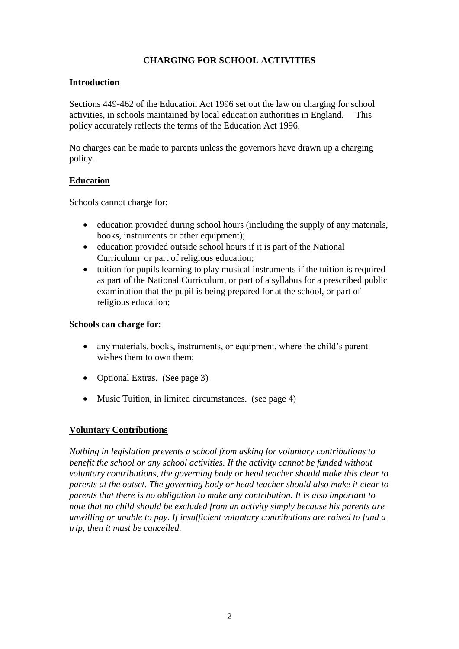## **CHARGING FOR SCHOOL ACTIVITIES**

## **Introduction**

Sections 449-462 of the Education Act 1996 set out the law on charging for school activities, in schools maintained by local education authorities in England. This policy accurately reflects the terms of the Education Act 1996.

No charges can be made to parents unless the governors have drawn up a charging policy.

## **Education**

Schools cannot charge for:

- education provided during school hours (including the supply of any materials, books, instruments or other equipment);
- education provided outside school hours if it is part of the National Curriculum or part of religious education;
- tuition for pupils learning to play musical instruments if the tuition is required as part of the National Curriculum, or part of a syllabus for a prescribed public examination that the pupil is being prepared for at the school, or part of religious education;

#### **Schools can charge for:**

- any materials, books, instruments, or equipment, where the child's parent wishes them to own them;
- Optional Extras. (See page 3)
- Music Tuition, in limited circumstances. (see page 4)

## **Voluntary Contributions**

*Nothing in legislation prevents a school from asking for voluntary contributions to benefit the school or any school activities. If the activity cannot be funded without voluntary contributions, the governing body or head teacher should make this clear to parents at the outset. The governing body or head teacher should also make it clear to parents that there is no obligation to make any contribution. It is also important to note that no child should be excluded from an activity simply because his parents are unwilling or unable to pay. If insufficient voluntary contributions are raised to fund a trip, then it must be cancelled.*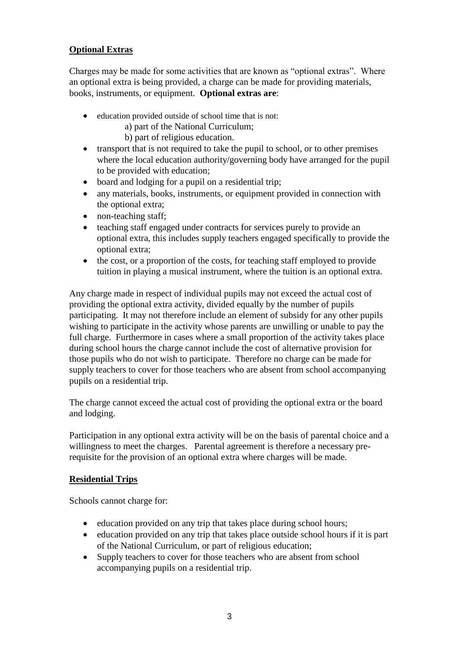## **Optional Extras**

Charges may be made for some activities that are known as "optional extras". Where an optional extra is being provided, a charge can be made for providing materials, books, instruments, or equipment. **Optional extras are**:

- education provided outside of school time that is not:
	- a) part of the National Curriculum;
	- b) part of religious education.
- transport that is not required to take the pupil to school, or to other premises where the local education authority/governing body have arranged for the pupil to be provided with education;
- board and lodging for a pupil on a residential trip;
- any materials, books, instruments, or equipment provided in connection with the optional extra;
- non-teaching staff:
- teaching staff engaged under contracts for services purely to provide an optional extra, this includes supply teachers engaged specifically to provide the optional extra;
- the cost, or a proportion of the costs, for teaching staff employed to provide tuition in playing a musical instrument, where the tuition is an optional extra.

Any charge made in respect of individual pupils may not exceed the actual cost of providing the optional extra activity, divided equally by the number of pupils participating. It may not therefore include an element of subsidy for any other pupils wishing to participate in the activity whose parents are unwilling or unable to pay the full charge. Furthermore in cases where a small proportion of the activity takes place during school hours the charge cannot include the cost of alternative provision for those pupils who do not wish to participate. Therefore no charge can be made for supply teachers to cover for those teachers who are absent from school accompanying pupils on a residential trip.

The charge cannot exceed the actual cost of providing the optional extra or the board and lodging.

Participation in any optional extra activity will be on the basis of parental choice and a willingness to meet the charges. Parental agreement is therefore a necessary prerequisite for the provision of an optional extra where charges will be made.

#### **Residential Trips**

Schools cannot charge for:

- education provided on any trip that takes place during school hours;
- education provided on any trip that takes place outside school hours if it is part of the National Curriculum, or part of religious education;
- Supply teachers to cover for those teachers who are absent from school accompanying pupils on a residential trip.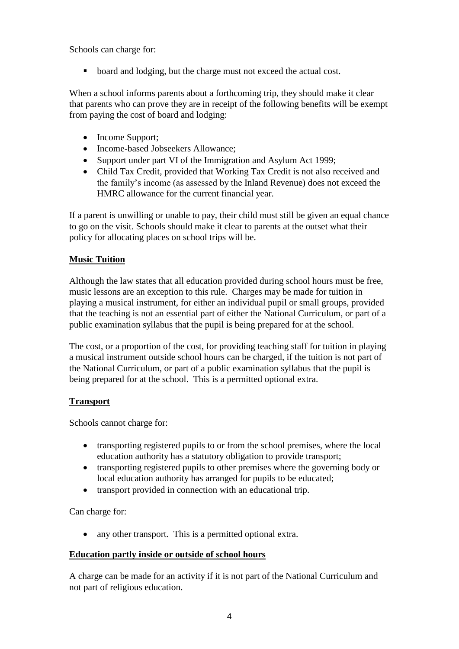Schools can charge for:

**board and lodging, but the charge must not exceed the actual cost.** 

When a school informs parents about a forthcoming trip, they should make it clear that parents who can prove they are in receipt of the following benefits will be exempt from paying the cost of board and lodging:

- Income Support;
- Income-based Jobseekers Allowance;
- Support under part VI of the Immigration and Asylum Act 1999;
- Child Tax Credit, provided that Working Tax Credit is not also received and the family's income (as assessed by the Inland Revenue) does not exceed the HMRC allowance for the current financial year.

If a parent is unwilling or unable to pay, their child must still be given an equal chance to go on the visit. Schools should make it clear to parents at the outset what their policy for allocating places on school trips will be.

## **Music Tuition**

Although the law states that all education provided during school hours must be free, music lessons are an exception to this rule. Charges may be made for tuition in playing a musical instrument, for either an individual pupil or small groups, provided that the teaching is not an essential part of either the National Curriculum, or part of a public examination syllabus that the pupil is being prepared for at the school.

The cost, or a proportion of the cost, for providing teaching staff for tuition in playing a musical instrument outside school hours can be charged, if the tuition is not part of the National Curriculum, or part of a public examination syllabus that the pupil is being prepared for at the school. This is a permitted optional extra.

## **Transport**

Schools cannot charge for:

- transporting registered pupils to or from the school premises, where the local education authority has a statutory obligation to provide transport;
- transporting registered pupils to other premises where the governing body or local education authority has arranged for pupils to be educated;
- transport provided in connection with an educational trip.

Can charge for:

• any other transport. This is a permitted optional extra.

## **Education partly inside or outside of school hours**

A charge can be made for an activity if it is not part of the National Curriculum and not part of religious education.